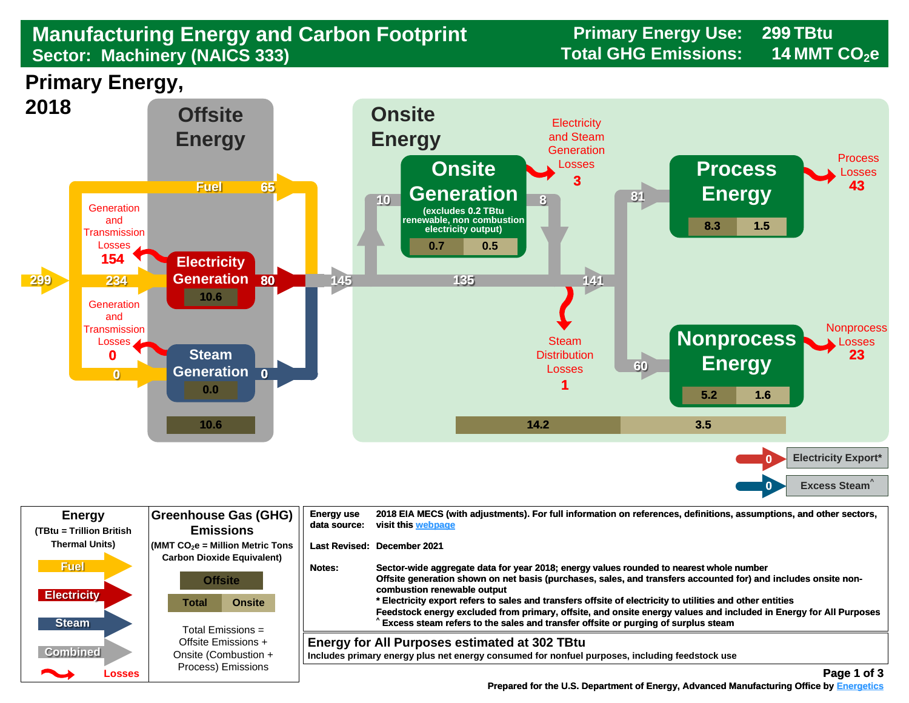## **Sector: Machinery (NAICS 333) Total GHG Emissions: 14 MMT CO2e Manufacturing Energy and Carbon Footprint Frimary Energy Use:**<br>Sector: Machinery (NAICS 333)<br>Total GHG Emissions:

**299**

**14**

**Primary Energy,** 



| <b>Energy</b><br>(TBtu = Trillion British                                                                                                                                                                                                                         | <b>Greenhouse Gas (GHG)</b><br><b>Emissions</b>                                                          | <b>Energy use</b><br>data source: | 2018 EIA MECS (with adjustments). For full information on references, definitions, assumptions, and other sectors,<br>visit this webpage                                                                                                                                                                                                                                                                                                                                                                                                                        |
|-------------------------------------------------------------------------------------------------------------------------------------------------------------------------------------------------------------------------------------------------------------------|----------------------------------------------------------------------------------------------------------|-----------------------------------|-----------------------------------------------------------------------------------------------------------------------------------------------------------------------------------------------------------------------------------------------------------------------------------------------------------------------------------------------------------------------------------------------------------------------------------------------------------------------------------------------------------------------------------------------------------------|
| <b>Thermal Units)</b>                                                                                                                                                                                                                                             | $\sqrt{\frac{1}{100}}$ (MMT CO <sub>2</sub> e = Million Metric Tons<br><b>Carbon Dioxide Equivalent)</b> | Last Revised: December 2021       |                                                                                                                                                                                                                                                                                                                                                                                                                                                                                                                                                                 |
| <b>Fuel</b><br><b>Electricity</b><br><b>Steam</b>                                                                                                                                                                                                                 | <b>Offsite</b><br><b>Onsite</b><br>Total                                                                 | Notes:                            | Sector-wide aggregate data for year 2018; energy values rounded to nearest whole number<br>Offsite generation shown on net basis (purchases, sales, and transfers accounted for) and includes onsite non-<br>combustion renewable output<br>* Electricity export refers to sales and transfers offsite of electricity to utilities and other entities<br>Feedstock energy excluded from primary, offsite, and onsite energy values and included in Energy for All Purposes<br>Excess steam refers to the sales and transfer offsite or purging of surplus steam |
| <b>Combined</b><br><u>android and the second second in the second second in the second second in the second second in the second second in the second second in the second second second in the second second second second second second second se</u><br>Losses | Total Emissions =<br>Offsite Emissions +<br>Onsite (Combustion +<br>Process) Emissions                   |                                   | <b>Energy for All Purposes estimated at 302 TBtu</b><br>Includes primary energy plus net energy consumed for nonfuel purposes, including feedstock use<br>Page 1 of 3                                                                                                                                                                                                                                                                                                                                                                                           |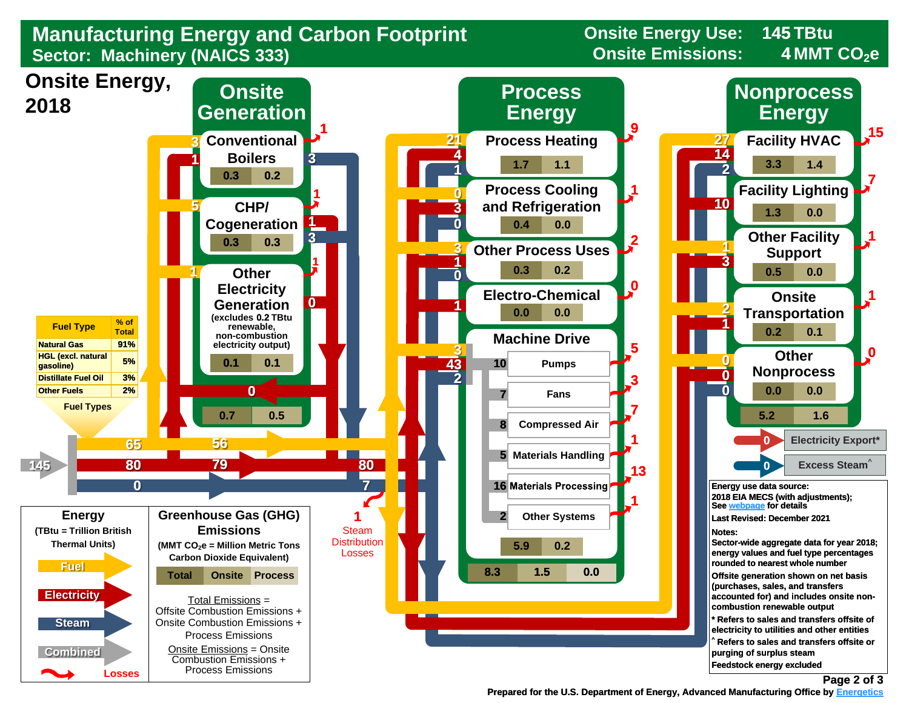